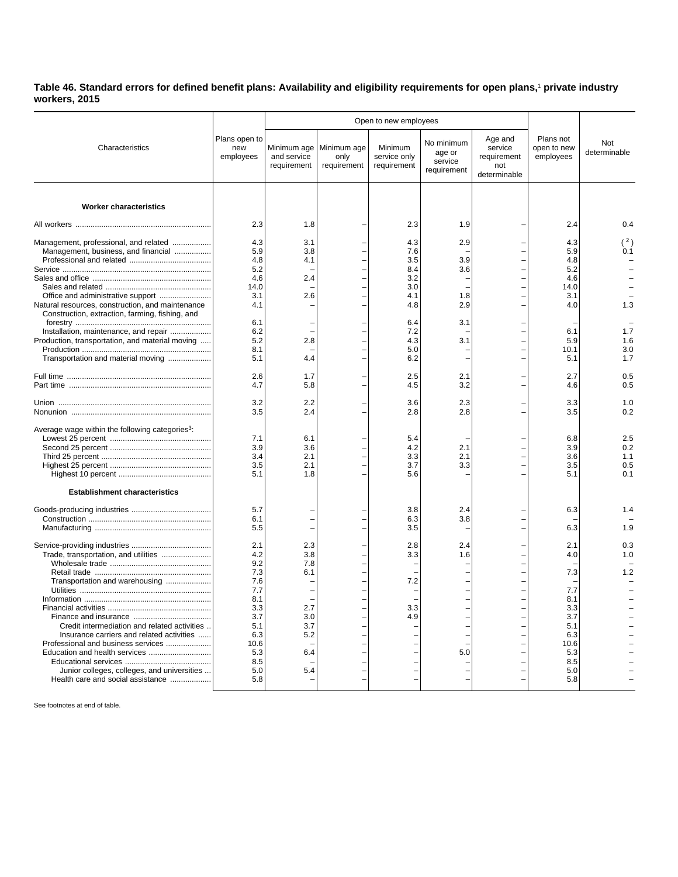**Table 46. Standard errors for defined benefit plans: Availability and eligibility requirements for open plans,**<sup>1</sup>  **private industry workers, 2015**

| Characteristics                                                                                     | Plans open to<br>new<br>employees |                                           | Open to new employees              |                                        |                                                |                                                          |                                       |                     |
|-----------------------------------------------------------------------------------------------------|-----------------------------------|-------------------------------------------|------------------------------------|----------------------------------------|------------------------------------------------|----------------------------------------------------------|---------------------------------------|---------------------|
|                                                                                                     |                                   | Minimum age<br>and service<br>requirement | Minimum age<br>only<br>requirement | Minimum<br>service only<br>requirement | No minimum<br>age or<br>service<br>requirement | Age and<br>service<br>requirement<br>not<br>determinable | Plans not<br>open to new<br>employees | Not<br>determinable |
|                                                                                                     |                                   |                                           |                                    |                                        |                                                |                                                          |                                       |                     |
| <b>Worker characteristics</b>                                                                       | 2.3                               | 1.8                                       |                                    | 2.3                                    | 1.9                                            |                                                          | 2.4                                   | 0.4                 |
|                                                                                                     |                                   |                                           |                                    |                                        |                                                |                                                          |                                       |                     |
| Management, professional, and related                                                               | 4.3                               | 3.1                                       |                                    | 4.3                                    | 2.9                                            |                                                          | 4.3                                   | (2)                 |
| Management, business, and financial                                                                 | 5.9                               | 3.8                                       |                                    | 7.6                                    |                                                |                                                          | 5.9                                   | 0.1                 |
|                                                                                                     | 4.8                               | 4.1                                       |                                    | 3.5                                    | 3.9                                            |                                                          | 4.8                                   |                     |
|                                                                                                     | 5.2                               |                                           |                                    | 8.4                                    | 3.6                                            |                                                          | 5.2                                   |                     |
|                                                                                                     | 4.6                               | 2.4                                       |                                    | 3.2                                    |                                                |                                                          | 4.6                                   |                     |
|                                                                                                     | 14.0<br>3.1                       | 2.6                                       |                                    | 3.0<br>4.1                             | 1.8                                            |                                                          | 14.0<br>3.1                           |                     |
|                                                                                                     | 4.1                               |                                           |                                    | 4.8                                    | 2.9                                            |                                                          | 4.0                                   | 1.3                 |
| Natural resources, construction, and maintenance<br>Construction, extraction, farming, fishing, and |                                   |                                           |                                    |                                        |                                                |                                                          |                                       |                     |
|                                                                                                     | 6.1                               |                                           |                                    | 6.4                                    | 3.1                                            |                                                          |                                       |                     |
| Installation, maintenance, and repair                                                               | 6.2                               |                                           |                                    | 7.2                                    |                                                |                                                          | 6.1                                   | 1.7                 |
| Production, transportation, and material moving                                                     | 5.2<br>8.1                        | 2.8                                       |                                    | 4.3<br>5.0                             | 3.1                                            |                                                          | 5.9<br>10.1                           | 1.6<br>3.0          |
| Transportation and material moving                                                                  | 5.1                               | 4.4                                       |                                    | 6.2                                    |                                                |                                                          | 5.1                                   | 1.7                 |
|                                                                                                     |                                   |                                           |                                    |                                        |                                                |                                                          |                                       |                     |
|                                                                                                     | 2.6<br>4.7                        | 1.7<br>5.8                                |                                    | 2.5<br>4.5                             | 2.1<br>3.2                                     |                                                          | 2.7<br>4.6                            | 0.5<br>0.5          |
|                                                                                                     |                                   |                                           |                                    |                                        |                                                |                                                          |                                       |                     |
|                                                                                                     | 3.2                               | 2.2                                       |                                    | 3.6                                    | 2.3                                            |                                                          | 3.3                                   | 1.0                 |
|                                                                                                     | 3.5                               | 2.4                                       |                                    | 2.8                                    | 2.8                                            |                                                          | 3.5                                   | 0.2                 |
| Average wage within the following categories <sup>3</sup> :                                         |                                   |                                           |                                    |                                        |                                                |                                                          |                                       |                     |
|                                                                                                     | 7.1                               | 6.1                                       |                                    | 5.4                                    |                                                |                                                          | 6.8                                   | 2.5                 |
|                                                                                                     | 3.9                               | 3.6                                       |                                    | 4.2                                    | 2.1                                            |                                                          | 3.9                                   | 0.2                 |
|                                                                                                     | 3.4                               | 2.1                                       |                                    | 3.3                                    | 2.1                                            |                                                          | 3.6                                   | 1.1                 |
|                                                                                                     | 3.5                               | 2.1                                       |                                    | 3.7                                    | 3.3                                            |                                                          | 3.5                                   | 0.5                 |
|                                                                                                     | 5.1                               | 1.8                                       |                                    | 5.6                                    |                                                |                                                          | 5.1                                   | 0.1                 |
|                                                                                                     |                                   |                                           |                                    |                                        |                                                |                                                          |                                       |                     |
| <b>Establishment characteristics</b>                                                                |                                   |                                           |                                    |                                        |                                                |                                                          |                                       |                     |
|                                                                                                     | 5.7                               |                                           |                                    | 3.8                                    | 2.4                                            |                                                          | 6.3                                   | 1.4                 |
|                                                                                                     | 6.1                               |                                           |                                    | 6.3                                    | 3.8                                            |                                                          |                                       |                     |
|                                                                                                     | 5.5                               |                                           |                                    | 3.5                                    |                                                |                                                          | 6.3                                   | 1.9                 |
|                                                                                                     | 2.1                               | 2.3                                       |                                    | 2.8                                    | 2.4                                            |                                                          | 2.1                                   | 0.3                 |
| Trade, transportation, and utilities                                                                | 4.2                               | 3.8                                       |                                    | 3.3                                    | 1.6                                            |                                                          | 4.0                                   | 1.0                 |
|                                                                                                     | 9.2                               | 7.8                                       |                                    |                                        |                                                |                                                          |                                       |                     |
|                                                                                                     | 7.3                               | 6.1                                       |                                    |                                        |                                                |                                                          | 7.3                                   | 1.2                 |
| Transportation and warehousing                                                                      | 7.6                               |                                           |                                    | 7.2                                    |                                                |                                                          |                                       |                     |
|                                                                                                     | 7.7                               |                                           |                                    |                                        |                                                |                                                          | 7.7                                   |                     |
|                                                                                                     | 8.1                               |                                           |                                    |                                        |                                                |                                                          | 8.1                                   |                     |
|                                                                                                     | 3.3                               | 2.7                                       |                                    | 3.3                                    |                                                |                                                          | 3.3                                   |                     |
|                                                                                                     | 3.7                               | 3.0                                       |                                    | 4.9                                    |                                                |                                                          | 3.7                                   |                     |
| Credit intermediation and related activities                                                        | 5.1                               | 3.7                                       |                                    |                                        |                                                |                                                          | 5.1                                   |                     |
| Insurance carriers and related activities                                                           | 6.3                               | 5.2                                       |                                    |                                        |                                                |                                                          | 6.3                                   |                     |
| Professional and business services                                                                  | 10.6                              |                                           |                                    |                                        |                                                |                                                          | 10.6                                  |                     |
|                                                                                                     | 5.3                               | 6.4                                       |                                    |                                        | 5.0                                            |                                                          | 5.3                                   |                     |
|                                                                                                     | 8.5                               |                                           |                                    |                                        |                                                |                                                          | 8.5                                   |                     |
| Junior colleges, colleges, and universities                                                         | 5.0<br>5.8                        | 5.4                                       |                                    |                                        |                                                |                                                          | 5.0<br>5.8                            |                     |
| Health care and social assistance                                                                   |                                   |                                           |                                    |                                        |                                                |                                                          |                                       |                     |

See footnotes at end of table.